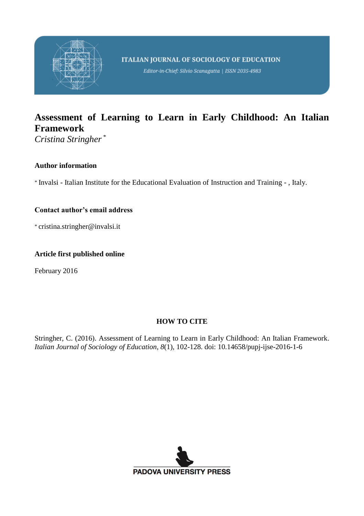

Editor-in-Chief: Silvio Scanagatta | ISSN 2035-4983

# **Assessment of Learning to Learn in Early Childhood: An Italian Framework**

*Cristina Stringher* \*

## **Author information**

\* Invalsi - Italian Institute for the Educational Evaluation of Instruction and Training - , Italy.

# **Contact author's email address**

\* cristina.stringher@invalsi.it

### **Article first published online**

February 2016

# **HOW TO CITE**

Stringher, C. (2016). Assessment of Learning to Learn in Early Childhood: An Italian Framework. *Italian Journal of Sociology of Education*, *8*(1), 102-128. doi: 10.14658/pupj-ijse-2016-1-6

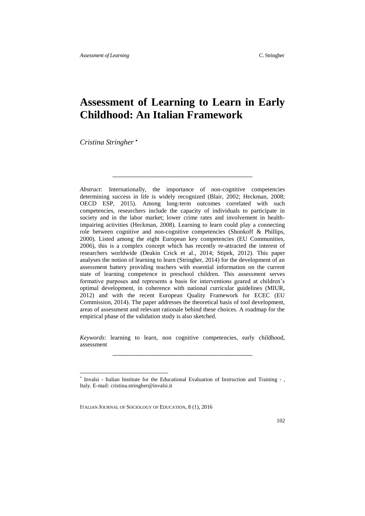# **Assessment of Learning to Learn in Early Childhood: An Italian Framework**

\_\_\_\_\_\_\_\_\_\_\_\_\_\_\_\_\_\_\_\_\_\_\_\_\_\_\_\_\_\_\_\_\_\_\_\_\_\_

*Cristina Stringher* \*

*Abstract*: Internationally, the importance of non-cognitive competencies determining success in life is widely recognized (Blair, 2002; Heckman, 2008; OECD ESP, 2015). Among long-term outcomes correlated with such competencies, researchers include the capacity of individuals to participate in society and in the labor market; lower crime rates and involvement in healthimpairing activities (Heckman, 2008). Learning to learn could play a connecting role between cognitive and non-cognitive competencies (Shonkoff & Phillips, 2000). Listed among the eight European key competencies (EU Communities, 2006), this is a complex concept which has recently re-attracted the interest of researchers worldwide (Deakin Crick et al., 2014; Stipek, 2012). This paper analyses the notion of learning to learn (Stringher, 2014) for the development of an assessment battery providing teachers with essential information on the current state of learning competence in preschool children. This assessment serves formative purposes and represents a basis for interventions geared at children's optimal development, in coherence with national curricular guidelines (MIUR, 2012) and with the recent European Quality Framework for ECEC (EU Commission, 2014). The paper addresses the theoretical basis of tool development, areas of assessment and relevant rationale behind these choices. A roadmap for the empirical phase of the validation study is also sketched.

*Keywords*: learning to learn, non cognitive competencies, early childhood, assessment \_\_\_\_\_\_\_\_\_\_\_\_\_\_\_\_\_\_\_\_\_\_\_\_\_\_\_\_\_\_\_\_\_\_\_\_\_\_

ITALIAN JOURNAL OF SOCIOLOGY OF EDUCATION, 8 (1), 2016

 $\overline{\phantom{a}}$ 

<sup>\*</sup> Invalsi - Italian Institute for the Educational Evaluation of Instruction and Training - , Italy. E-mail: cristina.stringher@invalsi.it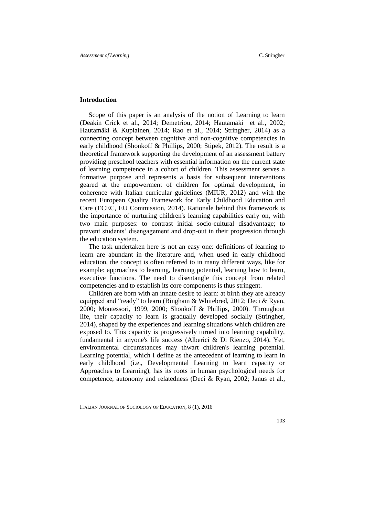#### **Introduction**

Scope of this paper is an analysis of the notion of Learning to learn (Deakin Crick et al., 2014; Demetriou, 2014; Hautamäki et al., 2002; Hautamäki & Kupiainen, 2014; Rao et al., 2014; Stringher, 2014) as a connecting concept between cognitive and non-cognitive competencies in early childhood (Shonkoff & Phillips, 2000; Stipek, 2012). The result is a theoretical framework supporting the development of an assessment battery providing preschool teachers with essential information on the current state of learning competence in a cohort of children. This assessment serves a formative purpose and represents a basis for subsequent interventions geared at the empowerment of children for optimal development, in coherence with Italian curricular guidelines (MIUR, 2012) and with the recent European Quality Framework for Early Childhood Education and Care (ECEC, EU Commission, 2014). Rationale behind this framework is the importance of nurturing children's learning capabilities early on, with two main purposes: to contrast initial socio-cultural disadvantage; to prevent students' disengagement and drop-out in their progression through the education system.

The task undertaken here is not an easy one: definitions of learning to learn are abundant in the literature and, when used in early childhood education, the concept is often referred to in many different ways, like for example: approaches to learning, learning potential, learning how to learn, executive functions. The need to disentangle this concept from related competencies and to establish its core components is thus stringent.

Children are born with an innate desire to learn: at birth they are already equipped and "ready" to learn (Bingham & Whitebred, 2012; Deci & Ryan, 2000; Montessori, 1999, 2000; Shonkoff & Phillips, 2000). Throughout life, their capacity to learn is gradually developed socially (Stringher, 2014), shaped by the experiences and learning situations which children are exposed to. This capacity is progressively turned into learning capability, fundamental in anyone's life success (Alberici & Di Rienzo, 2014). Yet, environmental circumstances may thwart children's learning potential. Learning potential, which I define as the antecedent of learning to learn in early childhood (i.e., Developmental Learning to learn capacity or Approaches to Learning), has its roots in human psychological needs for competence, autonomy and relatedness (Deci & Ryan, 2002; Janus et al.,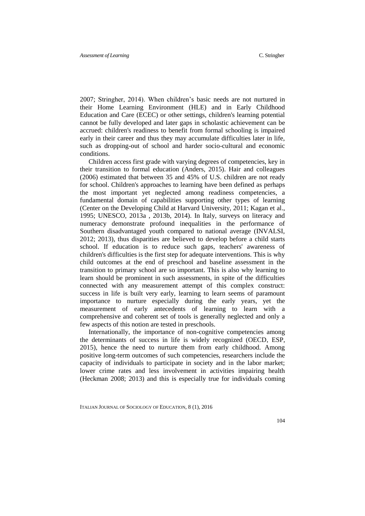2007; Stringher, 2014). When children's basic needs are not nurtured in their Home Learning Environment (HLE) and in Early Childhood Education and Care (ECEC) or other settings, children's learning potential cannot be fully developed and later gaps in scholastic achievement can be accrued: children's readiness to benefit from formal schooling is impaired early in their career and thus they may accumulate difficulties later in life, such as dropping-out of school and harder socio-cultural and economic conditions.

Children access first grade with varying degrees of competencies, key in their transition to formal education (Anders, 2015). Hair and colleagues (2006) estimated that between 35 and 45% of U.S. children are not ready for school. Children's approaches to learning have been defined as perhaps the most important yet neglected among readiness competencies, a fundamental domain of capabilities supporting other types of learning (Center on the Developing Child at Harvard University, 2011; Kagan et al., 1995; UNESCO, 2013a , 2013b, 2014). In Italy, surveys on literacy and numeracy demonstrate profound inequalities in the performance of Southern disadvantaged youth compared to national average (INVALSI, 2012; 2013), thus disparities are believed to develop before a child starts school. If education is to reduce such gaps, teachers' awareness of children's difficulties is the first step for adequate interventions. This is why child outcomes at the end of preschool and baseline assessment in the transition to primary school are so important. This is also why learning to learn should be prominent in such assessments, in spite of the difficulties connected with any measurement attempt of this complex construct: success in life is built very early, learning to learn seems of paramount importance to nurture especially during the early years, yet the measurement of early antecedents of learning to learn with a comprehensive and coherent set of tools is generally neglected and only a few aspects of this notion are tested in preschools.

Internationally, the importance of non-cognitive competencies among the determinants of success in life is widely recognized (OECD, ESP, 2015), hence the need to nurture them from early childhood. Among positive long-term outcomes of such competencies, researchers include the capacity of individuals to participate in society and in the labor market; lower crime rates and less involvement in activities impairing health (Heckman 2008; 2013) and this is especially true for individuals coming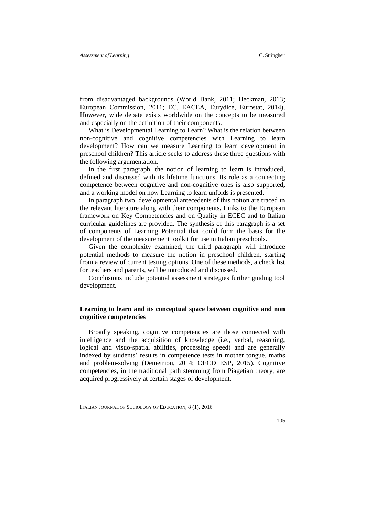from disadvantaged backgrounds (World Bank, 2011; Heckman, 2013; European Commission, 2011; EC, EACEA, Eurydice, Eurostat, 2014). However, wide debate exists worldwide on the concepts to be measured and especially on the definition of their components.

What is Developmental Learning to Learn? What is the relation between non-cognitive and cognitive competencies with Learning to learn development? How can we measure Learning to learn development in preschool children? This article seeks to address these three questions with the following argumentation.

In the first paragraph, the notion of learning to learn is introduced, defined and discussed with its lifetime functions. Its role as a connecting competence between cognitive and non-cognitive ones is also supported, and a working model on how Learning to learn unfolds is presented.

In paragraph two, developmental antecedents of this notion are traced in the relevant literature along with their components. Links to the European framework on Key Competencies and on Quality in ECEC and to Italian curricular guidelines are provided. The synthesis of this paragraph is a set of components of Learning Potential that could form the basis for the development of the measurement toolkit for use in Italian preschools.

Given the complexity examined, the third paragraph will introduce potential methods to measure the notion in preschool children, starting from a review of current testing options. One of these methods, a check list for teachers and parents, will be introduced and discussed.

Conclusions include potential assessment strategies further guiding tool development.

### **Learning to learn and its conceptual space between cognitive and non cognitive competencies**

Broadly speaking, cognitive competencies are those connected with intelligence and the acquisition of knowledge (i.e., verbal, reasoning, logical and visuo-spatial abilities, processing speed) and are generally indexed by students' results in competence tests in mother tongue, maths and problem-solving (Demetriou, 2014; OECD ESP, 2015). Cognitive competencies, in the traditional path stemming from Piagetian theory, are acquired progressively at certain stages of development.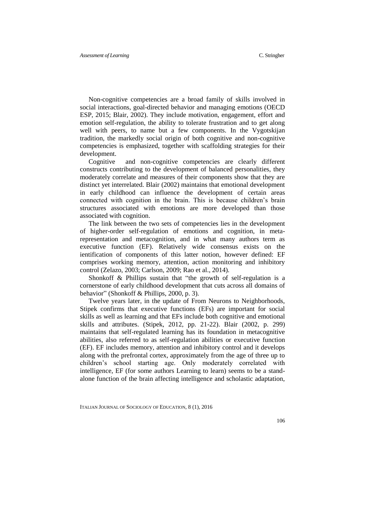Non-cognitive competencies are a broad family of skills involved in social interactions, goal-directed behavior and managing emotions (OECD ESP, 2015; Blair, 2002). They include motivation, engagement, effort and emotion self-regulation, the ability to tolerate frustration and to get along well with peers, to name but a few components. In the Vygotskijan tradition, the markedly social origin of both cognitive and non-cognitive competencies is emphasized, together with scaffolding strategies for their development.

Cognitive and non-cognitive competencies are clearly different constructs contributing to the development of balanced personalities, they moderately correlate and measures of their components show that they are distinct yet interrelated. Blair (2002) maintains that emotional development in early childhood can influence the development of certain areas connected with cognition in the brain. This is because children's brain structures associated with emotions are more developed than those associated with cognition.

The link between the two sets of competencies lies in the development of higher-order self-regulation of emotions and cognition, in metarepresentation and metacognition, and in what many authors term as executive function (EF). Relatively wide consensus exists on the ientification of components of this latter notion, however defined: EF comprises working memory, attention, action monitoring and inhibitory control (Zelazo, 2003; Carlson, 2009; Rao et al., 2014).

Shonkoff & Phillips sustain that "the growth of self-regulation is a cornerstone of early childhood development that cuts across all domains of behavior" (Shonkoff & Phillips, 2000, p. 3).

Twelve years later, in the update of From Neurons to Neighborhoods, Stipek confirms that executive functions (EFs) are important for social skills as well as learning and that EFs include both cognitive and emotional skills and attributes. (Stipek, 2012, pp. 21-22). Blair (2002, p. 299) maintains that self-regulated learning has its foundation in metacognitive abilities, also referred to as self-regulation abilities or executive function (EF). EF includes memory, attention and inhibitory control and it develops along with the prefrontal cortex, approximately from the age of three up to children's school starting age. Only moderately correlated with intelligence, EF (for some authors Learning to learn) seems to be a standalone function of the brain affecting intelligence and scholastic adaptation,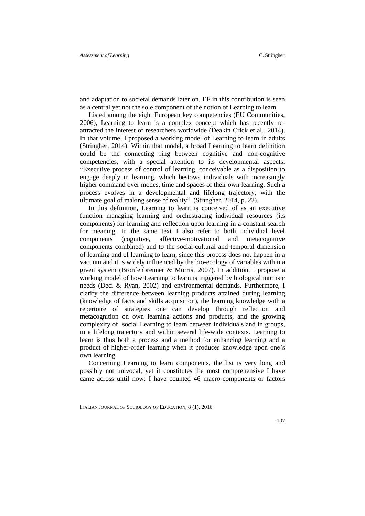and adaptation to societal demands later on. EF in this contribution is seen as a central yet not the sole component of the notion of Learning to learn.

Listed among the eight European key competencies (EU Communities, 2006), Learning to learn is a complex concept which has recently reattracted the interest of researchers worldwide (Deakin Crick et al., 2014). In that volume, I proposed a working model of Learning to learn in adults (Stringher, 2014). Within that model, a broad Learning to learn definition could be the connecting ring between cognitive and non-cognitive competencies, with a special attention to its developmental aspects: "Executive process of control of learning, conceivable as a disposition to engage deeply in learning, which bestows individuals with increasingly higher command over modes, time and spaces of their own learning. Such a process evolves in a developmental and lifelong trajectory, with the ultimate goal of making sense of reality". (Stringher, 2014, p. 22).

In this definition, Learning to learn is conceived of as an executive function managing learning and orchestrating individual resources (its components) for learning and reflection upon learning in a constant search for meaning. In the same text I also refer to both individual level components (cognitive, affective-motivational and metacognitive components combined) and to the social-cultural and temporal dimension of learning and of learning to learn, since this process does not happen in a vacuum and it is widely influenced by the bio-ecology of variables within a given system (Bronfenbrenner & Morris, 2007). In addition, I propose a working model of how Learning to learn is triggered by biological intrinsic needs (Deci & Ryan, 2002) and environmental demands. Furthermore, I clarify the difference between learning products attained during learning (knowledge of facts and skills acquisition), the learning knowledge with a repertoire of strategies one can develop through reflection and metacognition on own learning actions and products, and the growing complexity of social Learning to learn between individuals and in groups, in a lifelong trajectory and within several life-wide contexts. Learning to learn is thus both a process and a method for enhancing learning and a product of higher-order learning when it produces knowledge upon one's own learning.

Concerning Learning to learn components, the list is very long and possibly not univocal, yet it constitutes the most comprehensive I have came across until now: I have counted 46 macro-components or factors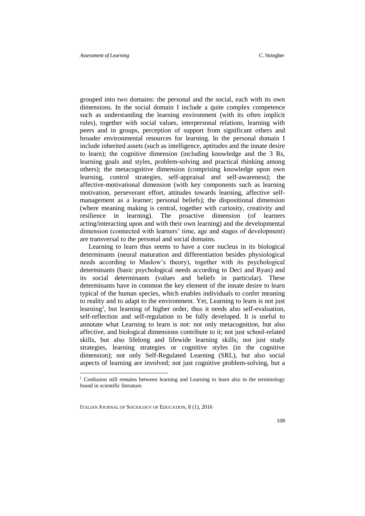grouped into two domains: the personal and the social, each with its own dimensions. In the social domain I include a quite complex competence such as understanding the learning environment (with its often implicit rules), together with social values, interpersonal relations, learning with peers and in groups, perception of support from significant others and broader environmental resources for learning. In the personal domain I include inherited assets (such as intelligence, aptitudes and the innate desire to learn); the cognitive dimension (including knowledge and the 3 Rs, learning goals and styles, problem-solving and practical thinking among others); the metacognitive dimension (comprising knowledge upon own learning, control strategies, self-appraisal and self-awareness); the affective-motivational dimension (with key components such as learning motivation, perseverant effort, attitudes towards learning, affective selfmanagement as a learner; personal beliefs); the dispositional dimension (where meaning making is central, together with curiosity, creativity and resilience in learning). The proactive dimension (of learners acting/interacting upon and with their own learning) and the developmental dimension (connected with learners' time, age and stages of development) are transversal to the personal and social domains.

Learning to learn thus seems to have a core nucleus in its biological determinants (neural maturation and differentiation besides physiological needs according to Maslow's theory), together with its psychological determinants (basic psychological needs according to Deci and Ryan) and its social determinants (values and beliefs in particular). These determinants have in common the key element of the innate desire to learn typical of the human species, which enables individuals to confer meaning to reality and to adapt to the environment. Yet, Learning to learn is not just learning<sup>1</sup>, but learning of higher order, thus it needs also self-evaluation, self-reflection and self-regulation to be fully developed. It is useful to annotate what Learning to learn is not: not only metacognition, but also affective, and biological dimensions contribute to it; not just school-related skills, but also lifelong and lifewide learning skills; not just study strategies, learning strategies or cognitive styles (in the cognitive dimension); not only Self-Regulated Learning (SRL), but also social aspects of learning are involved; not just cognitive problem-solving, but a

ITALIAN JOURNAL OF SOCIOLOGY OF EDUCATION, 8 (1), 2016

 $\overline{\phantom{a}}$ 

<sup>&</sup>lt;sup>1</sup> Confusion still remains between learning and Learning to learn also in the terminology found in scientific literature.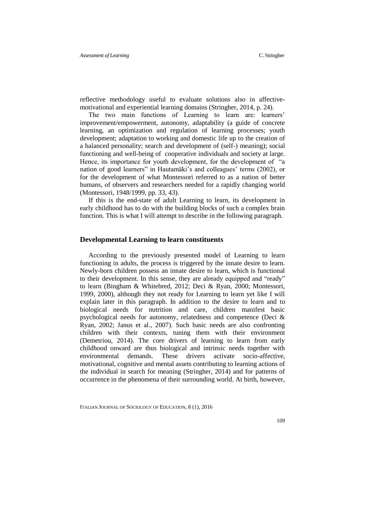reflective methodology useful to evaluate solutions also in affectivemotivational and experiential learning domains (Stringher, 2014, p. 24).

The two main functions of Learning to learn are: learners' improvement/empowerment, autonomy, adaptability (a guide of concrete learning, an optimization and regulation of learning processes; youth development; adaptation to working and domestic life up to the creation of a balanced personality; search and development of (self-) meaning); social functioning and well-being of cooperative individuals and society at large. Hence, its importance for youth development, for the development of "a nation of good learners" in Hautamäki's and colleagues' terms (2002), or for the development of what Montessori referred to as a nation of better humans, of observers and researchers needed for a rapidly changing world (Montessori, 1948/1999, pp. 33, 43).

If this is the end-state of adult Learning to learn, its development in early childhood has to do with the building blocks of such a complex brain function. This is what I will attempt to describe in the following paragraph.

#### **Developmental Learning to learn constituents**

According to the previously presented model of Learning to learn functioning in adults, the process is triggered by the innate desire to learn. Newly-born children possess an innate desire to learn, which is functional to their development. In this sense, they are already equipped and "ready" to learn (Bingham & Whitebred, 2012; Deci & Ryan, 2000; Montessori, 1999, 2000), although they not ready for Learning to learn yet like I will explain later in this paragraph. In addition to the desire to learn and to biological needs for nutrition and care, children manifest basic psychological needs for autonomy, relatedness and competence (Deci & Ryan, 2002; Janus et al., 2007). Such basic needs are also confronting children with their contexts, tuning them with their environment (Demetriou, 2014). The core drivers of learning to learn from early childhood onward are thus biological and intrinsic needs together with environmental demands. These drivers activate socio-affective, motivational, cognitive and mental assets contributing to learning actions of the individual in search for meaning (Stringher, 2014) and for patterns of occurrence in the phenomena of their surrounding world. At birth, however,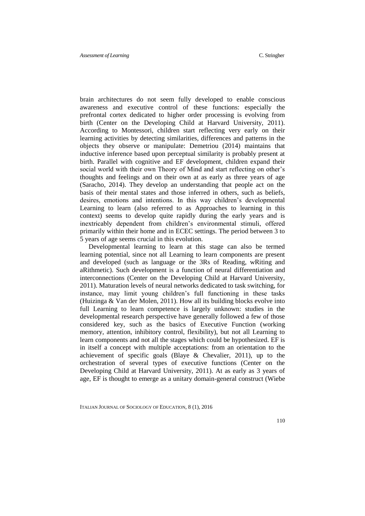brain architectures do not seem fully developed to enable conscious awareness and executive control of these functions: especially the prefrontal cortex dedicated to higher order processing is evolving from birth (Center on the Developing Child at Harvard University, 2011). According to Montessori, children start reflecting very early on their learning activities by detecting similarities, differences and patterns in the objects they observe or manipulate: Demetriou (2014) maintains that inductive inference based upon perceptual similarity is probably present at birth. Parallel with cognitive and EF development, children expand their social world with their own Theory of Mind and start reflecting on other's thoughts and feelings and on their own at as early as three years of age (Saracho, 2014). They develop an understanding that people act on the basis of their mental states and those inferred in others, such as beliefs, desires, emotions and intentions. In this way children's developmental Learning to learn (also referred to as Approaches to learning in this context) seems to develop quite rapidly during the early years and is inextricably dependent from children's environmental stimuli, offered primarily within their home and in ECEC settings. The period between 3 to 5 years of age seems crucial in this evolution.

Developmental learning to learn at this stage can also be termed learning potential, since not all Learning to learn components are present and developed (such as language or the 3Rs of Reading, wRiting and aRithmetic). Such development is a function of neural differentiation and interconnections (Center on the Developing Child at Harvard University, 2011). Maturation levels of neural networks dedicated to task switching, for instance, may limit young children's full functioning in these tasks (Huizinga & Van der Molen, 2011). How all its building blocks evolve into full Learning to learn competence is largely unknown: studies in the developmental research perspective have generally followed a few of those considered key, such as the basics of Executive Function (working memory, attention, inhibitory control, flexibility), but not all Learning to learn components and not all the stages which could be hypothesized. EF is in itself a concept with multiple acceptations: from an orientation to the achievement of specific goals (Blaye & Chevalier, 2011), up to the orchestration of several types of executive functions (Center on the Developing Child at Harvard University, 2011). At as early as 3 years of age, EF is thought to emerge as a unitary domain-general construct (Wiebe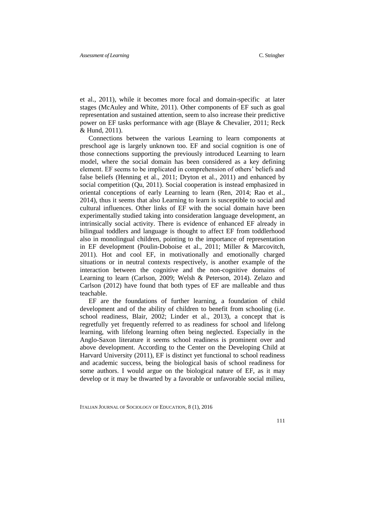et al., 2011), while it becomes more focal and domain-specific at later stages (McAuley and White, 2011). Other components of EF such as goal representation and sustained attention, seem to also increase their predictive power on EF tasks performance with age (Blaye & Chevalier, 2011; Reck & Hund, 2011).

Connections between the various Learning to learn components at preschool age is largely unknown too. EF and social cognition is one of those connections supporting the previously introduced Learning to learn model, where the social domain has been considered as a key defining element. EF seems to be implicated in comprehension of others' beliefs and false beliefs (Henning et al., 2011; Dryton et al., 2011) and enhanced by social competition (Qu, 2011). Social cooperation is instead emphasized in oriental conceptions of early Learning to learn (Ren, 2014; Rao et al., 2014), thus it seems that also Learning to learn is susceptible to social and cultural influences. Other links of EF with the social domain have been experimentally studied taking into consideration language development, an intrinsically social activity. There is evidence of enhanced EF already in bilingual toddlers and language is thought to affect EF from toddlerhood also in monolingual children, pointing to the importance of representation in EF development (Poulin-Doboise et al., 2011; Miller & Marcovitch, 2011). Hot and cool EF, in motivationally and emotionally charged situations or in neutral contexts respectively, is another example of the interaction between the cognitive and the non-cognitive domains of Learning to learn (Carlson, 2009; Welsh & Peterson, 2014). Zelazo and Carlson (2012) have found that both types of EF are malleable and thus teachable.

EF are the foundations of further learning, a foundation of child development and of the ability of children to benefit from schooling (i.e. school readiness, Blair, 2002; Linder et al., 2013), a concept that is regretfully yet frequently referred to as readiness for school and lifelong learning, with lifelong learning often being neglected. Especially in the Anglo-Saxon literature it seems school readiness is prominent over and above development. According to the Center on the Developing Child at Harvard University (2011), EF is distinct yet functional to school readiness and academic success, being the biological basis of school readiness for some authors. I would argue on the biological nature of EF, as it may develop or it may be thwarted by a favorable or unfavorable social milieu,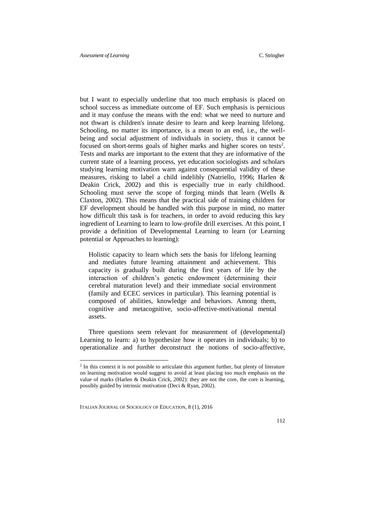but I want to especially underline that too much emphasis is placed on school success as immediate outcome of EF. Such emphasis is pernicious and it may confuse the means with the end: what we need to nurture and not thwart is children's innate desire to learn and keep learning lifelong. Schooling, no matter its importance, is a mean to an end, i.e., the wellbeing and social adjustment of individuals in society, thus it cannot be focused on short-terms goals of higher marks and higher scores on tests<sup>2</sup>. Tests and marks are important to the extent that they are informative of the current state of a learning process, yet education sociologists and scholars studying learning motivation warn against consequential validity of these measures, risking to label a child indelibly (Natriello, 1996; Harlen & Deakin Crick, 2002) and this is especially true in early childhood. Schooling must serve the scope of forging minds that learn (Wells & Claxton, 2002). This means that the practical side of training children for EF development should be handled with this purpose in mind, no matter how difficult this task is for teachers, in order to avoid reducing this key ingredient of Learning to learn to low-profile drill exercises. At this point, I provide a definition of Developmental Learning to learn (or Learning potential or Approaches to learning):

Holistic capacity to learn which sets the basis for lifelong learning and mediates future learning attainment and achievement. This capacity is gradually built during the first years of life by the interaction of children's genetic endowment (determining their cerebral maturation level) and their immediate social environment (family and ECEC services in particular). This learning potential is composed of abilities, knowledge and behaviors. Among them, cognitive and metacognitive, socio-affective-motivational mental assets.

Three questions seem relevant for measurement of (developmental) Learning to learn: a) to hypothesize how it operates in individuals; b) to operationalize and further deconstruct the notions of socio-affective,

ITALIAN JOURNAL OF SOCIOLOGY OF EDUCATION, 8 (1), 2016

 $\overline{\phantom{a}}$ 

 $2$  In this context it is not possible to articulate this argument further, but plenty of literature on learning motivation would suggest to avoid at least placing too much emphasis on the value of marks (Harlen & Deakin Crick, 2002): they are not the core, the core is learning, possibly guided by intrinsic motivation (Deci & Ryan, 2002).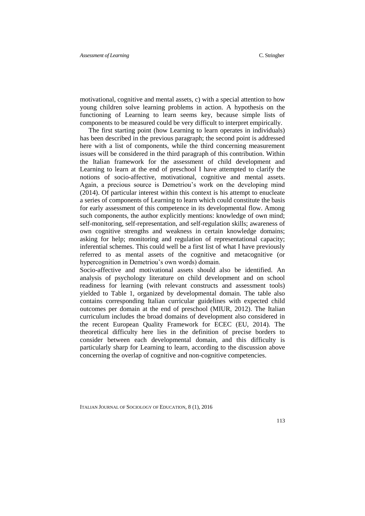motivational, cognitive and mental assets, c) with a special attention to how young children solve learning problems in action. A hypothesis on the functioning of Learning to learn seems key, because simple lists of components to be measured could be very difficult to interpret empirically.

The first starting point (how Learning to learn operates in individuals) has been described in the previous paragraph; the second point is addressed here with a list of components, while the third concerning measurement issues will be considered in the third paragraph of this contribution. Within the Italian framework for the assessment of child development and Learning to learn at the end of preschool I have attempted to clarify the notions of socio-affective, motivational, cognitive and mental assets. Again, a precious source is Demetriou's work on the developing mind (2014). Of particular interest within this context is his attempt to enucleate a series of components of Learning to learn which could constitute the basis for early assessment of this competence in its developmental flow. Among such components, the author explicitly mentions: knowledge of own mind; self-monitoring, self-representation, and self-regulation skills; awareness of own cognitive strengths and weakness in certain knowledge domains; asking for help; monitoring and regulation of representational capacity; inferential schemes. This could well be a first list of what I have previously referred to as mental assets of the cognitive and metacognitive (or hypercognition in Demetriou's own words) domain.

Socio-affective and motivational assets should also be identified. An analysis of psychology literature on child development and on school readiness for learning (with relevant constructs and assessment tools) yielded to Table 1, organized by developmental domain. The table also contains corresponding Italian curricular guidelines with expected child outcomes per domain at the end of preschool (MIUR, 2012). The Italian curriculum includes the broad domains of development also considered in the recent European Quality Framework for ECEC (EU, 2014). The theoretical difficulty here lies in the definition of precise borders to consider between each developmental domain, and this difficulty is particularly sharp for Learning to learn, according to the discussion above concerning the overlap of cognitive and non-cognitive competencies.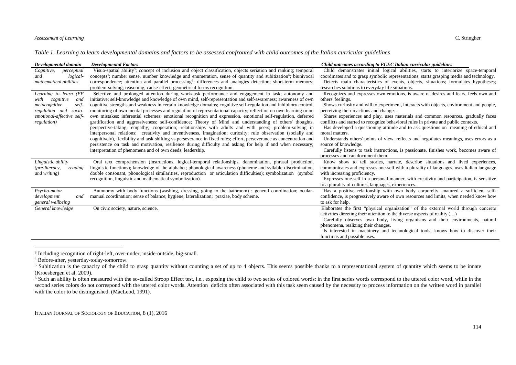#### *Assessment of Learning* C. Stringher

|  |  | Table 1. Learning to learn developmental domains and factors to be assessed confronted with child outcomes of the Italian curricular guidelines |  |
|--|--|-------------------------------------------------------------------------------------------------------------------------------------------------|--|
|  |  |                                                                                                                                                 |  |

| Developmental domain<br>Cognitive,<br>perceptual                                                                                                 | <b>Developmental Factors</b><br>Visuo-spatial ability <sup>3</sup> ; concept of inclusion and object classification, objects seriation and ranking; temporal                                                                                                                                                                                                                                                                                                                                                                                                                                                                                                                              | Child outcomes according to ECEC Italian curricular guidelines<br>Child demonstrates initial logical abilities, starts to interiorize space-temporal                                                                                                                                                                                                                                                                       |
|--------------------------------------------------------------------------------------------------------------------------------------------------|-------------------------------------------------------------------------------------------------------------------------------------------------------------------------------------------------------------------------------------------------------------------------------------------------------------------------------------------------------------------------------------------------------------------------------------------------------------------------------------------------------------------------------------------------------------------------------------------------------------------------------------------------------------------------------------------|----------------------------------------------------------------------------------------------------------------------------------------------------------------------------------------------------------------------------------------------------------------------------------------------------------------------------------------------------------------------------------------------------------------------------|
| logical-<br>and<br>mathematical abilities                                                                                                        | concepts <sup>4</sup> ; number sense, number knowledge and enumeration, sense of quantity and subitization <sup>5</sup> ; biunivocal<br>correspondence; attention and parallel processing <sup>6</sup> ; differences and analogies detection; short-term memory;<br>problem-solving; reasoning; cause-effect; geometrical forms recognition.                                                                                                                                                                                                                                                                                                                                              | coordinates and to grasp symbolic representations; starts grasping media and technology.<br>Detects main characteristics of events, objects, situations; formulates hypotheses;<br>researches solutions to everyday life situations.                                                                                                                                                                                       |
| Learning to learn (EF<br>cognitive<br>with<br>and<br>metacognitive<br>self-<br>regulation and socio-<br>emotional-affective self-<br>regulation) | Selective and prolonged attention during work/task performance and engagement in task; autonomy and<br>initiative; self-knowledge and knowledge of own mind, self-representation and self-awareness; awareness of own<br>cognitive strengths and weakness in certain knowledge domains; cognitive self-regulation and inhibitory control,<br>monitoring of own mental processes and regulation of representational capacity; reflection on own learning or on<br>own mistakes; inferential schemes; emotional recognition and expression, emotional self-regulation, deferred<br>gratification and aggressiveness; self-confidence; Theory of Mind and understanding of others' thoughts, | Recognizes and expresses own emotions, is aware of desires and fears, feels own and<br>others' feelings.<br>Shows curiosity and will to experiment, interacts with objects, environment and people,<br>perceiving their reactions and changes.<br>Shares experiences and play, uses materials and common resources, gradually faces<br>conflicts and started to recognize behavioral rules in private and public contexts. |
|                                                                                                                                                  | perspective-taking; empathy; cooperation; relationships with adults and with peers; problem-solving in<br>interpersonal relations; creativity and inventiveness, imagination; curiosity; rule observation (socially and<br>cognitively), flexibility and task shifting vs perseverance in fixed rules; effort, perseverance as concentration and<br>persistence on task and motivation, resilience during difficulty and asking for help if and when necessary;<br>interpretation of phenomena and of own deeds; leadership.                                                                                                                                                              | Has developed a questioning attitude and to ask questions on meaning of ethical and<br>moral matters.<br>Understands others' points of view, reflects and negotiates meanings, uses errors as a<br>source of knowledge.<br>Carefully listens to task instructions, is passionate, finishes work, becomes aware of<br>processes and can document them.                                                                      |
| Linguistic ability<br>(pre-literacy,<br>reading<br>and writing)                                                                                  | Oral text comprehension (instructions, logical-temporal relationships, denomination, phrasal production,<br>linguistic functions); knowledge of the alphabet; phonological awareness (phoneme and syllable discrimination,<br>double consonant, phonological similarities, reproduction or articulation difficulties); symbolization (symbol<br>recognition, linguistic and mathematical symbolization).                                                                                                                                                                                                                                                                                  | Know show to tell stories, narrate, describe situations and lived experiences,<br>communicates and expresses one-self with a plurality of languages, uses Italian language<br>with increasing proficiency.<br>Expresses one-self in a personal manner, with creativity and participation, is sensitive<br>to a plurality of cultures, languages, experiences.                                                              |
| Psycho-motor<br>development<br>and<br>general wellbeing                                                                                          | Autonomy with body functions (washing, dressing, going to the bathroom); general coordination; ocular-<br>manual coordination; sense of balance; hygiene; lateralization; praxiae, body scheme.                                                                                                                                                                                                                                                                                                                                                                                                                                                                                           | Has a positive relationship with own body corporeity, matured a sufficient self-<br>confidence, is progressively aware of own resources and limits, when needed know how<br>to ask for help.                                                                                                                                                                                                                               |
| General knowledge                                                                                                                                | On civic society, nature, science.                                                                                                                                                                                                                                                                                                                                                                                                                                                                                                                                                                                                                                                        | Elaborates the first "physical organization" of the external world through concrete<br>activities directing their attention to the diverse aspects of reality ()<br>Carefully observes own body, living organisms and their environments, natural<br>phenomena, realizing their changes.<br>Is interested in machinery and technological tools, knows how to discover their<br>functions and possible uses.                |

 3 Including recognition of right-left, over-under, inside-outside, big-small.

<sup>4</sup> Before-after, yesterday-today-tomorrow.

<sup>&</sup>lt;sup>5</sup> Subitization is the capacity of the child to grasp quantity without counting a set of up to 4 objects. This seems possible thanks to a representational system of quantity which seems to be innate (Kroesbergen et al, 2009).

<sup>&</sup>lt;sup>6</sup> Such an ability is often measured with the so-called Stroop Effect test, i.e., exposing the child to two series of colored words: in the first series words correspond to the uttered color word, while in the second series colors do not correspond with the uttered color words. Attention deficits often associated with this task seem caused by the necessity to process information on the written word in parallel with the color to be distinguished. (MacLeod, 1991).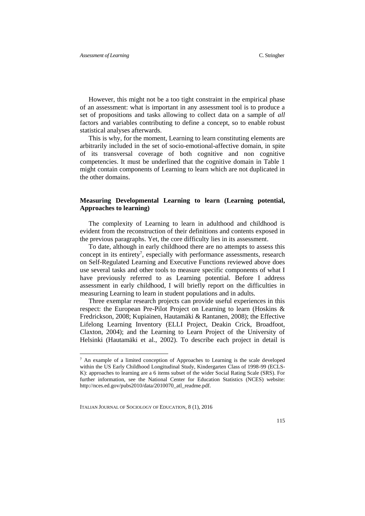However, this might not be a too tight constraint in the empirical phase of an assessment: what is important in any assessment tool is to produce a set of propositions and tasks allowing to collect data on a sample of *all* factors and variables contributing to define a concept, so to enable robust statistical analyses afterwards.

This is why, for the moment, Learning to learn constituting elements are arbitrarily included in the set of socio-emotional-affective domain, in spite of its transversal coverage of both cognitive and non cognitive competencies. It must be underlined that the cognitive domain in Table 1 might contain components of Learning to learn which are not duplicated in the other domains.

### **Measuring Developmental Learning to learn (Learning potential, Approaches to learning)**

The complexity of Learning to learn in adulthood and childhood is evident from the reconstruction of their definitions and contents exposed in the previous paragraphs. Yet, the core difficulty lies in its assessment.

To date, although in early childhood there are no attempts to assess this concept in its entirety<sup>7</sup>, especially with performance assessments, research on Self-Regulated Learning and Executive Functions reviewed above does use several tasks and other tools to measure specific components of what I have previously referred to as Learning potential. Before I address assessment in early childhood, I will briefly report on the difficulties in measuring Learning to learn in student populations and in adults.

Three exemplar research projects can provide useful experiences in this respect: the European Pre-Pilot Project on Learning to learn (Hoskins & Fredrickson, 2008; Kupiainen, Hautamäki & Rantanen, 2008); the Effective Lifelong Learning Inventory (ELLI Project, Deakin Crick, Broadfoot, Claxton, 2004); and the Learning to Learn Project of the University of Helsinki (Hautamäki et al., 2002). To describe each project in detail is

ITALIAN JOURNAL OF SOCIOLOGY OF EDUCATION, 8 (1), 2016

-

<sup>7</sup> An example of a limited conception of Approaches to Learning is the scale developed within the US Early Childhood Longitudinal Study, Kindergarten Class of 1998-99 (ECLS-K): approaches to learning are a 6 items subset of the wider Social Rating Scale (SRS). For further information, see the National Center for Education Statistics (NCES) website: http://nces.ed.gov/pubs2010/data/2010070\_atl\_readme.pdf.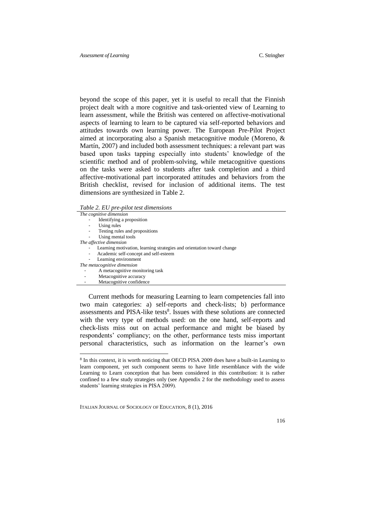beyond the scope of this paper, yet it is useful to recall that the Finnish project dealt with a more cognitive and task-oriented view of Learning to learn assessment, while the British was centered on affective-motivational aspects of learning to learn to be captured via self-reported behaviors and attitudes towards own learning power. The European Pre-Pilot Project aimed at incorporating also a Spanish metacognitive module (Moreno, & Martín, 2007) and included both assessment techniques: a relevant part was based upon tasks tapping especially into students' knowledge of the scientific method and of problem-solving, while metacognitive questions on the tasks were asked to students after task completion and a third affective-motivational part incorporated attitudes and behaviors from the British checklist, revised for inclusion of additional items. The test dimensions are synthesized in Table 2.

*Table 2. EU pre-pilot test dimensions*

-

| The cognitive dimension                                                |
|------------------------------------------------------------------------|
| Identifying a proposition                                              |
| Using rules                                                            |
| Testing rules and propositions                                         |
| Using mental tools                                                     |
| The affective dimension                                                |
| Learning motivation, learning strategies and orientation toward change |
| Academic self-concept and self-esteem<br>۰                             |
| Learning environment                                                   |
| The metacognitive dimension                                            |
| A metacognitive monitoring task                                        |
| Metacognitive accuracy                                                 |
| Metacognitive confidence                                               |
|                                                                        |
|                                                                        |

Current methods for measuring Learning to learn competencies fall into two main categories: a) self-reports and check-lists; b) performance assessments and PISA-like tests<sup>8</sup>. Issues with these solutions are connected with the very type of methods used: on the one hand, self-reports and check-lists miss out on actual performance and might be biased by respondents' compliancy; on the other, performance tests miss important personal characteristics, such as information on the learner's own

<sup>&</sup>lt;sup>8</sup> In this context, it is worth noticing that OECD PISA 2009 does have a built-in Learning to learn component, yet such component seems to have little resemblance with the wide Learning to Learn conception that has been considered in this contribution: it is rather confined to a few study strategies only (see Appendix 2 for the methodology used to assess students' learning strategies in PISA 2009).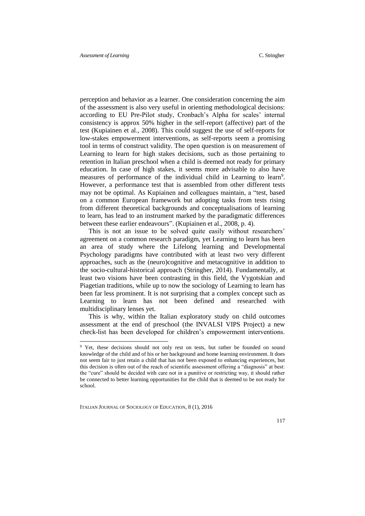perception and behavior as a learner. One consideration concerning the aim of the assessment is also very useful in orienting methodological decisions: according to EU Pre-Pilot study, Cronbach's Alpha for scales' internal consistency is approx 50% higher in the self-report (affective) part of the test (Kupiainen et al., 2008). This could suggest the use of self-reports for low-stakes empowerment interventions, as self-reports seem a promising tool in terms of construct validity. The open question is on measurement of Learning to learn for high stakes decisions, such as those pertaining to retention in Italian preschool when a child is deemed not ready for primary education. In case of high stakes, it seems more advisable to also have measures of performance of the individual child in Learning to learn<sup>9</sup>. However, a performance test that is assembled from other different tests may not be optimal. As Kupiainen and colleagues maintain, a "test, based on a common European framework but adopting tasks from tests rising from different theoretical backgrounds and conceptualisations of learning to learn, has lead to an instrument marked by the paradigmatic differences between these earlier endeavours". (Kupiainen et al., 2008, p. 4).

This is not an issue to be solved quite easily without researchers' agreement on a common research paradigm, yet Learning to learn has been an area of study where the Lifelong learning and Developmental Psychology paradigms have contributed with at least two very different approaches, such as the (neuro)cognitive and metacognitive in addition to the socio-cultural-historical approach (Stringher, 2014). Fundamentally, at least two visions have been contrasting in this field, the Vygotskian and Piagetian traditions, while up to now the sociology of Learning to learn has been far less prominent. It is not surprising that a complex concept such as Learning to learn has not been defined and researched with multidisciplinary lenses yet.

This is why, within the Italian exploratory study on child outcomes assessment at the end of preschool (the INVALSI VIPS Project) a new check-list has been developed for children's empowerment interventions.

ITALIAN JOURNAL OF SOCIOLOGY OF EDUCATION, 8 (1), 2016

 $\overline{\phantom{a}}$ 

<sup>&</sup>lt;sup>9</sup> Yet, these decisions should not only rest on tests, but rather be founded on sound knowledge of the child and of his or her background and home learning environment. It does not seem fair to just retain a child that has not been exposed to enhancing experiences, but this decision is often out of the reach of scientific assessment offering a "diagnosis" at best: the "cure" should be decided with care not in a punitive or restricting way, it should rather be connected to better learning opportunities for the child that is deemed to be not ready for school.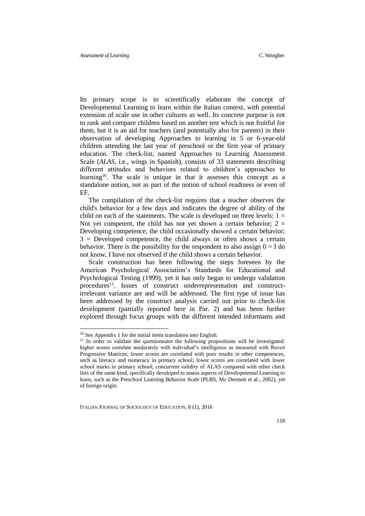Its primary scope is to scientifically elaborate the concept of Developmental Learning to learn within the Italian context, with potential extension of scale use in other cultures as well. Its concrete purpose is not to rank and compare children based on another test which is not fruitful for them, but it is an aid for teachers (and potentially also for parents) in their observation of developing Approaches to learning in 5 or 6-year-old children attending the last year of preschool or the first year of primary education. The check-list, named Approaches to Learning Assessment Scale (*ALAS*, i.e., wings in Spanish), consists of 33 statements describing different attitudes and behaviors related to children's approaches to learning<sup>10</sup>. The scale is unique in that it assesses this concept as a standalone notion, not as part of the notion of school readiness or even of EF.

The compilation of the check-list requires that a teacher observes the child's behavior for a few days and indicates the degree of ability of the child on each of the statements. The scale is developed on three levels:  $1 =$ Not yet competent, the child has not yet shown a certain behavior;  $2 =$ Developing competence, the child occasionally showed a certain behavior;  $3$  = Developed competence, the child always or often shows a certain behavior. There is the possibility for the respondent to also assign  $0 = I$  do not know, I have not observed if the child shows a certain behavior.

Scale construction has been following the steps foreseen by the American Psychological Association's Standards for Educational and Psychological Testing (1999), yet it has only began to undergo validation procedures<sup>11</sup>. Issues of construct underrepresentation and constructirrelevant variance are and will be addressed. The first type of issue has been addressed by the construct analysis carried out prior to check-list development (partially reported here in Par. 2) and has been further explored through focus groups with the different intended informants and

<u>.</u>

<sup>10</sup> See Appendix 1 for the initial items translation into English.

 $11$  In order to validate the questionnaire the following propositions will be investigated: higher scores correlate moderately with individual's intelligence as measured with Raven Progressive Matrices; lower scores are correlated with poor results in other competences, such as literacy and numeracy in primary school; lower scores are correlated with lower school marks in primary school; concurrent validity of ALAS compared with other check lists of the same kind, specifically developed to assess aspects of Developmental Learning to learn, such as the Preschool Learning Behavior Scale (PLBS, Mc Dermott et al., 2002), yet of foreign origin.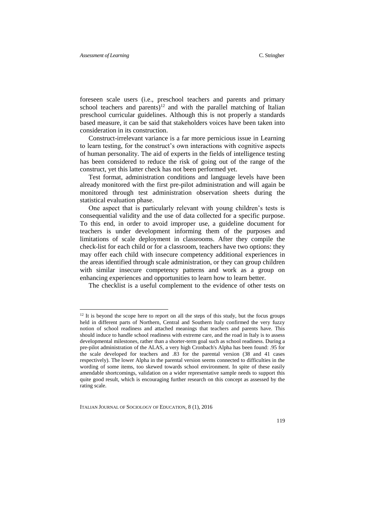$\overline{\phantom{a}}$ 

foreseen scale users (i.e., preschool teachers and parents and primary school teachers and parents)<sup>12</sup> and with the parallel matching of Italian preschool curricular guidelines. Although this is not properly a standards based measure, it can be said that stakeholders voices have been taken into consideration in its construction.

Construct-irrelevant variance is a far more pernicious issue in Learning to learn testing, for the construct's own interactions with cognitive aspects of human personality. The aid of experts in the fields of intelligence testing has been considered to reduce the risk of going out of the range of the construct, yet this latter check has not been performed yet.

Test format, administration conditions and language levels have been already monitored with the first pre-pilot administration and will again be monitored through test administration observation sheets during the statistical evaluation phase.

One aspect that is particularly relevant with young children's tests is consequential validity and the use of data collected for a specific purpose. To this end, in order to avoid improper use, a guideline document for teachers is under development informing them of the purposes and limitations of scale deployment in classrooms. After they compile the check-list for each child or for a classroom, teachers have two options: they may offer each child with insecure competency additional experiences in the areas identified through scale administration, or they can group children with similar insecure competency patterns and work as a group on enhancing experiences and opportunities to learn how to learn better.

The checklist is a useful complement to the evidence of other tests on

<sup>&</sup>lt;sup>12</sup> It is beyond the scope here to report on all the steps of this study, but the focus groups held in different parts of Northern, Central and Southern Italy confirmed the very fuzzy notion of school readiness and attached meanings that teachers and parents have. This should induce to handle school readiness with extreme care, and the road in Italy is to assess developmental milestones, rather than a shorter-term goal such as school readiness. During a pre-pilot administration of the ALAS, a very high Cronbach's Alpha has been found: .95 for the scale developed for teachers and .83 for the parental version (38 and 41 cases respectively). The lower Alpha in the parental version seems connected to difficulties in the wording of some items, too skewed towards school environment. In spite of these easily amendable shortcomings, validation on a wider representative sample needs to support this quite good result, which is encouraging further research on this concept as assessed by the rating scale.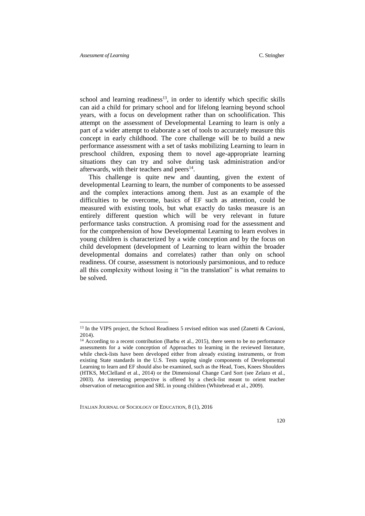$\overline{\phantom{a}}$ 

school and learning readiness<sup>13</sup>, in order to identify which specific skills can aid a child for primary school and for lifelong learning beyond school years, with a focus on development rather than on schoolification. This attempt on the assessment of Developmental Learning to learn is only a part of a wider attempt to elaborate a set of tools to accurately measure this concept in early childhood. The core challenge will be to build a new performance assessment with a set of tasks mobilizing Learning to learn in preschool children, exposing them to novel age-appropriate learning situations they can try and solve during task administration and/or afterwards, with their teachers and peers<sup>14</sup>.

This challenge is quite new and daunting, given the extent of developmental Learning to learn, the number of components to be assessed and the complex interactions among them. Just as an example of the difficulties to be overcome, basics of EF such as attention, could be measured with existing tools, but what exactly do tasks measure is an entirely different question which will be very relevant in future performance tasks construction. A promising road for the assessment and for the comprehension of how Developmental Learning to learn evolves in young children is characterized by a wide conception and by the focus on child development (development of Learning to learn within the broader developmental domains and correlates) rather than only on school readiness. Of course, assessment is notoriously parsimonious, and to reduce all this complexity without losing it "in the translation" is what remains to be solved.

<sup>&</sup>lt;sup>13</sup> In the VIPS project, the School Readiness 5 revised edition was used (Zanetti & Cavioni, 2014).

<sup>&</sup>lt;sup>14</sup> According to a recent contribution (Barbu et al., 2015), there seem to be no performance assessments for a wide conception of Approaches to learning in the reviewed literature, while check-lists have been developed either from already existing instruments, or from existing State standards in the U.S. Tests tapping single components of Developmental Learning to learn and EF should also be examined, such as the Head, Toes, Knees Shoulders (HTKS, McClelland et al., 2014) or the Dimensional Change Card Sort (see Zelazo et al., 2003). An interesting perspective is offered by a check-list meant to orient teacher observation of metacognition and SRL in young children (Whitebread et al., 2009).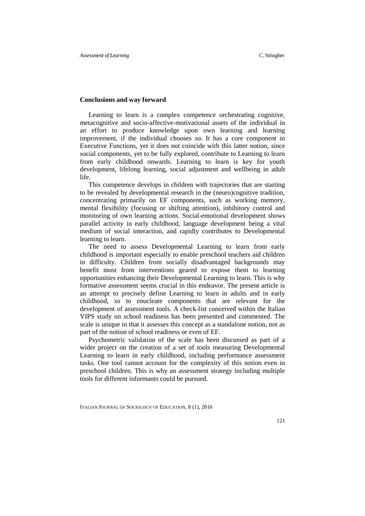#### **Conclusions and way forward**

Learning to learn is a complex competence orchestrating cognitive, metacognitive and socio-affective-motivational assets of the individual in an effort to produce knowledge upon own learning and learning improvement, if the individual chooses so. It has a core component in Executive Functions, yet it does not coincide with this latter notion, since social components, yet to be fully explored, contribute to Learning to learn from early childhood onwards. Learning to learn is key for youth development, lifelong learning, social adjustment and wellbeing in adult life.

This competence develops in children with trajectories that are starting to be revealed by developmental research in the (neuro)cognitive tradition, concentrating primarily on EF components, such as working memory, mental flexibility (focusing or shifting attention), inhibitory control and monitoring of own learning actions. Social-emotional development shows parallel activity in early childhood, language development being a vital medium of social interaction, and rapidly contributes to Developmental learning to learn.

The need to assess Developmental Learning to learn from early childhood is important especially to enable preschool teachers aid children in difficulty. Children from socially disadvantaged backgrounds may benefit most from interventions geared to expose them to learning opportunities enhancing their Developmental Learning to learn. This is why formative assessment seems crucial in this endeavor. The present article is an attempt to precisely define Learning to learn in adults and in early childhood, so to enucleate components that are relevant for the development of assessment tools. A check-list conceived within the Italian VIPS study on school readiness has been presented and commented. The scale is unique in that it assesses this concept as a standalone notion, not as part of the notion of school readiness or even of EF.

Psychometric validation of the scale has been discussed as part of a wider project on the creation of a set of tools measuring Developmental Learning to learn in early childhood, including performance assessment tasks. One tool cannot account for the complexity of this notion even in preschool children. This is why an assessment strategy including multiple tools for different informants could be pursued.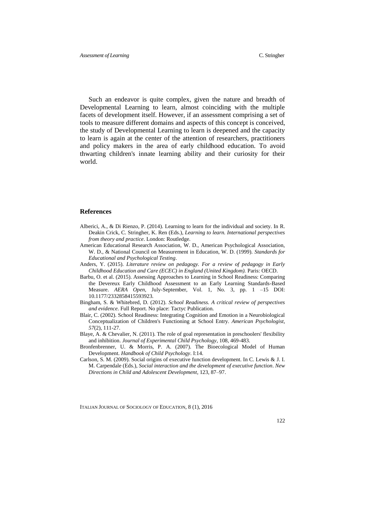Such an endeavor is quite complex, given the nature and breadth of Developmental Learning to learn, almost coinciding with the multiple facets of development itself. However, if an assessment comprising a set of tools to measure different domains and aspects of this concept is conceived, the study of Developmental Learning to learn is deepened and the capacity to learn is again at the center of the attention of researchers, practitioners and policy makers in the area of early childhood education. To avoid thwarting children's innate learning ability and their curiosity for their world.

#### **References**

- Alberici, A., & Di Rienzo, P. (2014). Learning to learn for the individual and society. In R. Deakin Crick, C. Stringher, K. Ren (Eds.), *Learning to learn. International perspectives from theory and practice*. London: Routledge.
- American Educational Research Association, W. D., American Psychological Association, W. D., & National Council on Measurement in Education, W. D. (1999). *Standards for Educational and Psychological Testing*.
- Anders, Y. (2015). *Literature review on pedagogy. For a review of pedagogy in Early Childhood Education and Care (ECEC) in England (United Kingdom).* Paris: OECD.
- Barbu, O. et al. (2015). Assessing Approaches to Learning in School Readiness: Comparing the Devereux Early Childhood Assessment to an Early Learning Standards-Based Measure. *AERA Open,* July-September, Vol. 1, No. 3, pp. 1 –15 DOI: 10.1177/2332858415593923.
- Bingham, S. & Whitebred, D. (2012). *School Readiness. A critical review of perspectives and evidence*. Full Report. No place: Tactyc Publication.
- Blair, C. (2002). School Readiness: Integrating Cognition and Emotion in a Neurobiological Conceptualization of Children's Functioning at School Entry. *American Psychologist*, *57*(2), 111-27.
- Blaye, A. & Chevalier, N. (2011). The role of goal representation in preschoolers' flexibility and inhibition. *Journal of Experimental Child Psychology*, 108, 469-483.
- Bronfenbrenner, U. & Morris, P. A. (2007). The Bioecological Model of Human Development. *Handbook of Child Psychology*. I:14.
- Carlson, S. M. (2009). Social origins of executive function development. In C. Lewis & J. I. M. Carpendale (Eds.), *Social interaction and the development of executive function*. *New Directions in Child and Adolescent Development*, 123, 87–97.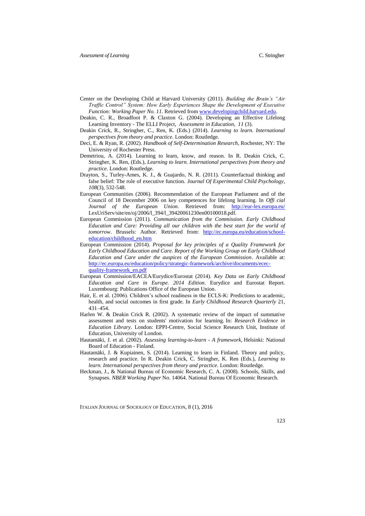- Center on the Developing Child at Harvard University (2011). *Building the Brain's "Air Traffic Control" System: How Early Experiences Shape the Development of Executive Function: Working Paper No. 11*. Retrieved fro[m www.developingchild.harvard.edu.](http://www.developingchild.harvard.edu/)
- Deakin, C. R., Broadfoot P. & Claxton G. (2004). Developing an Effective Lifelong Learning Inventory - The ELLI Project, *Assessment in Education, 11* (3).
- Deakin Crick, R., Stringher, C., Ren, K. (Eds.) (2014). *Learning to learn. International perspectives from theory and practice*. London: Routledge.
- Deci, E. & Ryan, R. (2002). *Handbook of Self-Determination Research*, Rochester, NY: The University of Rochester Press.
- Demetriou, A. (2014). Learning to learn, know, and reason. In R. Deakin Crick, C. Stringher, K. Ren, (Eds.), *Learning to learn. International perspectives from theory and practice*. London: Routledge.
- Drayton, S., Turley-Ames, K. J., & Guajardo, N. R. (2011). Counterfactual thinking and false belief: The role of executive function. *Journal Of Experimental Child Psychology*, *108*(3), 532-548.
- European Communities (2006). Recommendation of the European Parliament and of the Council of 18 December 2006 on key competences for lifelong learning. In *Offi cial Journal of the European Union*. Retrieved from: <http://eur-lex.europa.eu/> LexUriServ/site/en/oj/2006/l\_394/l\_39420061230en00100018.pdf.
- European Commission (2011). *Communication from the Commission. Early Childhood Education and Care: Providing all our children with the best start for the world of tomorrow*. Brussels: Author. Retrieved from: [http://ec.europa.eu/education/school](http://ec.europa.eu/education/school-education/childhood_en.htm)[education/childhood\\_en.htm](http://ec.europa.eu/education/school-education/childhood_en.htm)
- European Commission (2014). *Proposal for key principles of a Quality Framework for Early Childhood Education and Care. Report of the Working Group on Early Childhood Education and Care under the auspices of the European Commission*. Available at: [http://ec.europa.eu/education/policy/strategic-framework/archive/documents/ecec](http://ec.europa.eu/education/policy/strategic-framework/archive/documents/ecec-quality-framework_en.pdf)[quality-framework\\_en.pdf](http://ec.europa.eu/education/policy/strategic-framework/archive/documents/ecec-quality-framework_en.pdf)
- European Commission/EACEA/Eurydice/Eurostat (2014). *Key Data on Early Childhood Education and Care in Europe. 2014 Edition*. Eurydice and Eurostat Report. Luxembourg: Publications Office of the European Union.
- Hair, E. et al. (2006). Children's school readiness in the ECLS-K: Predictions to academic, health, and social outcomes in first grade. In *Early Childhood Research Quarterly* 21, 431–454.
- Harlen W. & Deakin Crick R. (2002). A systematic review of the impact of summative assessment and tests on students' motivation for learning. In: *Research Evidence in Education Library*. London: EPPI-Centre, Social Science Research Unit, Institute of Education, University of London.
- Hautamäki, J. et al. (2002). *Assessing learning-to-learn - A framework,* Helsinki: National Board of Education - Finland.
- Hautamäki, J. & Kupiainen, S. (2014). Learning to learn in Finland. Theory and policy, research and practice. In R. Deakin Crick, C. Stringher, K. Ren (Eds.), *Learning to learn. International perspectives from theory and practice*. London: Routledge.
- Heckman, J., & National Bureau of Economic Research, C. A. (2008). Schools, Skills, and Synapses. *NBER Working Paper* No. 14064. National Bureau Of Economic Research.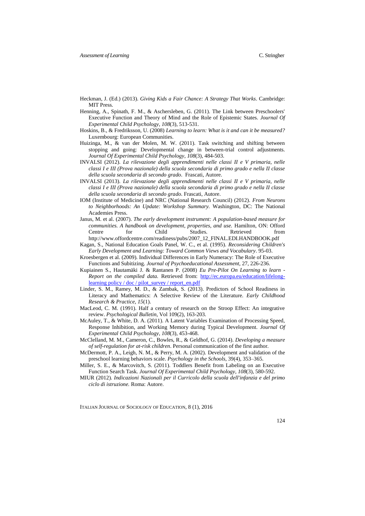- Heckman, J. (Ed.) (2013). *Giving Kids a Fair Chance: A Strategy That Works*. Cambridge: MIT Press.
- Henning, A., Spinath, F. M., & Aschersleben, G. (2011). The Link between Preschoolers' Executive Function and Theory of Mind and the Role of Epistemic States. *Journal Of Experimental Child Psychology*, *108*(3), 513-531.
- Hoskins, B., & Fredriksson, U. (2008) *Learning to learn: What is it and can it be measured?* Luxembourg: European Communities.
- Huizinga, M., & van der Molen, M. W. (2011). Task switching and shifting between stopping and going: Developmental change in between-trial control adjustments. *Journal Of Experimental Child Psychology*, *108*(3), 484-503.
- INVALSI (2012). *La rilevazione degli apprendimenti nelle classi II e V primaria, nelle classi I e III (Prova nazionale) della scuola secondaria di primo grado e nella II classe della scuola secondaria di secondo grado*. Frascati, Autore.
- INVALSI (2013). *La rilevazione degli apprendimenti nelle classi II e V primaria, nelle classi I e III (Prova nazionale) della scuola secondaria di primo grado e nella II classe della scuola secondaria di secondo grado*. Frascati, Autore.
- IOM (Institute of Medicine) and NRC (National Research Council) (2012). *From Neurons to Neighborhoods: An Update: Workshop Summary.* Washington, DC: The National Academies Press.
- Janus, M. et al. (2007). *The early development instrument: A population-based measure for communities. A handbook on development, properties, and use.* Hamilton, ON: Offord Centre for Child Studies. Retrieved from http://www.offordcentre.com/readiness/pubs/2007\_12\_FINAL.EDI.HANDBOOK.pdf
- Kagan, S., National Education Goals Panel, W. C., et al. (1995). *Reconsidering Children's Early Development and Learning: Toward Common Views and Vocabulary*. 95-03.
- Kroesbergen et al. (2009). Individual Differences in Early Numeracy: The Role of Executive Functions and Subitizing. *Journal of Psychoeducational Assessment,* 27, 226-236.
- Kupiainen S., Hautamäki J. & Rantanen P. (2008) *Eu Pre-Pilot On Learning to learn - Report on the compiled data.* Retrieved from: [http://ec.europa.eu/education/lifelong](http://ec.europa.eu/education/lifelong-learning%20policy%20/%20doc%20/%20pilot_survey%20/%20report_en.pdf)[learning policy / doc / pilot\\_survey / report\\_en.pdf](http://ec.europa.eu/education/lifelong-learning%20policy%20/%20doc%20/%20pilot_survey%20/%20report_en.pdf)
- Linder, S. M., Ramey, M. D., & Zambak, S. (2013). Predictors of School Readiness in Literacy and Mathematics: A Selective Review of the Literature. *Early Childhood Research & Practice*, *15*(1).
- MacLeod, C. M. (1991). Half a century of research on the Stroop Effect: An integrative review. *Psychological Bulletin*, Vol 109(2), 163-203.
- McAuley, T., & White, D. A. (2011). A Latent Variables Examination of Processing Speed, Response Inhibition, and Working Memory during Typical Development. *Journal Of Experimental Child Psychology*, *108*(3), 453-468.
- McClelland, M. M., Cameron, C., Bowles, R., & Geldhof, G. (2014). *Developing a measure of self-regulation for at-risk children*. Personal communication of the first author.
- McDermott, P. A., Leigh, N. M., & Perry, M. A. (2002). Development and validation of the preschool learning behaviors scale. *Psychology in the Schools*, 39(4), 353–365.
- Miller, S. E., & Marcovitch, S. (2011). Toddlers Benefit from Labeling on an Executive Function Search Task. *Journal Of Experimental Child Psychology*, *108*(3), 580-592.
- MIUR (2012). *Indicazioni Nazionali per il Curricolo della scuola dell'infanzia e del primo ciclo di istruzione.* Roma: Autore.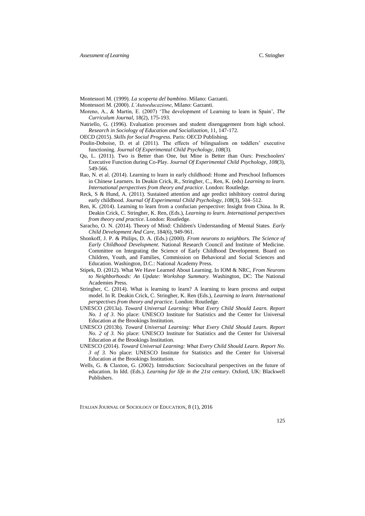Montessori M. (1999). *La scoperta del bambino*. Milano: Garzanti.

- Montessori M. (2000). *L'Autoeducazione*, Milano: Garzanti.
- Moreno, A., & Martín, E. (2007) 'The development of Learning to learn in Spain', *The Curriculum Journal*, 18(2), 175-193.
- Natriello, G. (1996). Evaluation processes and student disengagement from high school. *Research in Sociology of Education and Socialization*, 11, 147-172.
- OECD (2015). *Skills for Social Progress*. Paris: OECD Publishing.
- Poulin-Doboise, D. et al (2011). The effects of bilingualism on toddlers' executive functioning. *Journal Of Experimental Child Psychology*, *108*(3).
- Qu, L. (2011). Two is Better than One, but Mine is Better than Ours: Preschoolers' Executive Function during Co-Play. *Journal Of Experimental Child Psychology*, *108*(3), 549-566.
- Rao, N. et al. (2014). Learning to learn in early childhood: Home and Preschool Influences in Chinese Learners. In Deakin Crick, R., Stringher, C., Ren, K. (eds) *Learning to learn. International perspectives from theory and practice*. London: Routledge.
- Reck, S & Hund, A. (2011). Sustained attention and age predict inhibitory control during early childhood. *Journal Of Experimental Child Psychology*, *108*(3), 504–512.
- Ren, K. (2014). Learning to learn from a confucian perspective: Insight from China. In R. Deakin Crick, C. Stringher, K. Ren, (Eds.), *Learning to learn. International perspectives from theory and practice*. London: Routledge.
- Saracho, O. N. (2014). Theory of Mind: Children's Understanding of Mental States. *Early Child Development And Care*, 184(6), 949-961.
- Shonkoff, J. P. & Philips, D. A. (Eds.) (2000). *From neurons to neighbors. The Science of Early Childhood Development*. National Research Council and Institute of Medicine. Committee on Integrating the Science of Early Childhood Development. Board on Children, Youth, and Families, Commission on Behavioral and Social Sciences and Education. Washington, D.C.: National Academy Press.
- Stipek, D. (2012). What We Have Learned About Learning. In IOM & NRC, *From Neurons to Neighborhoods: An Update: Workshop Summary.* Washington, DC: The National Academies Press.
- Stringher, C. (2014). What is learning to learn? A learning to learn process and output model. In R. Deakin Crick, C. Stringher, K. Ren (Eds.), *Learning to learn. International perspectives from theory and practice*. London: Routledge.
- UNESCO (2013a). *Toward Universal Learning: What Every Child Should Learn. Report No. 1 of 3*. No place: UNESCO Institute for Statistics and the Center for Universal Education at the Brookings Institution.
- UNESCO (2013b). *Toward Universal Learning: What Every Child Should Learn. Report No. 2 of 3.* No place: UNESCO Institute for Statistics and the Center for Universal Education at the Brookings Institution.
- UNESCO (2014). *Toward Universal Learning: What Every Child Should Learn. Report No. 3 of 3.* No place: UNESCO Institute for Statistics and the Center for Universal Education at the Brookings Institution.
- Wells, G. & Claxton, G. (2002). Introduction: Sociocultural perspectives on the future of education. In Idd. (Eds.). *Learning for life in the 21st century*. Oxford, UK: Blackwell Publishers.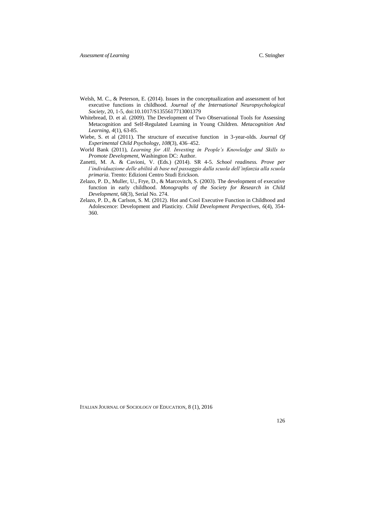- Welsh, M. C., & Peterson, E. (2014). Issues in the conceptualization and assessment of hot executive functions in childhood. *Journal of the International Neuropsychological Society*, 20, 1-5, doi:10.1017/S1355617713001379
- Whitebread, D. et al. (2009). The Development of Two Observational Tools for Assessing Metacognition and Self-Regulated Learning in Young Children. *Metacognition And Learning*, *4*(1), 63-85.
- Wiebe, S. et al (2011). The structure of executive function in 3-year-olds. *Journal Of Experimental Child Psychology*, *108*(3), 436–452.
- World Bank (2011), *Learning for All. Investing in People's Knowledge and Skills to Promote Development*, Washington DC: Author.
- Zanetti, M. A. & Cavioni, V. (Eds.) (2014). SR 4-5. *School readiness. Prove per l'individuazione delle abilità di base nel passaggio dalla scuola dell'infanzia alla scuola primaria*. Trento: Edizioni Centro Studi Erickson.
- Zelazo, P. D., Muller, U., Frye, D., & Marcovitch, S. (2003). The development of executive function in early childhood. *Monographs of the Society for Research in Child Development*, 68(3), Serial No. 274.
- Zelazo, P. D., & Carlson, S. M. (2012). Hot and Cool Executive Function in Childhood and Adolescence: Development and Plasticity. *Child Development Perspectives*, *6*(4), 354- 360.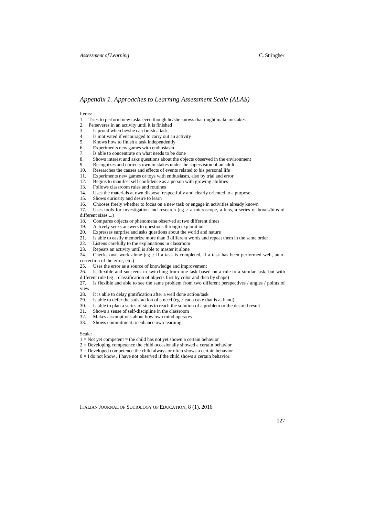#### *Appendix 1. Approaches to Learning Assessment Scale (ALAS)*

#### Items:

- 1. Tries to perform new tasks even though he/she knows that might make mistakes
- 2. Perseveres in an activity until it is finished<br>3. Is proud when he/she can finish a task
- 3. Is proud when he/she can finish a task<br>4. Is motivated if encouraged to carry ou
- Is motivated if encouraged to carry out an activity
- 5. Knows how to finish a task independently
- 6. Experiments new games with enthusiasm<br>7. Is able to concentrate on what needs to be
- Is able to concentrate on what needs to be done
- 8. Shows interest and asks questions about the objects observed in the environment
- 9. Recognizes and corrects own mistakes under the supervision of an adult
- 10. Researches the causes and effects of events related to his personal life
- 11. Experiments new games or toys with enthusiasm, also by trial and error
- 12. Begins to manifest self confidence as a person with growing abilities
- 13. Follows classroom rules and routines<br>14. I Uses the materials at own disposal res
- 14. Uses the materials at own disposal respectfully and clearly oriented to a purpose 15. Shows curiosity and desire to learn
- 15. Shows curiosity and desire to learn<br>16. Chooses freely whether to focus on
- 16. Chooses freely whether to focus on a new task or engage in activities already known
- 17. Uses tools for investigation and research (eg .: a microscope, a lens, a series of boxes/bins of

different sizes ...)

- 18. Compares objects or phenomena observed at two different times
- 19. Actively seeks answers to questions through exploration
- 20. Expresses surprise and asks questions about the world and nature 21. Is able to easily memorize more than 3 different words and repeat
- Is able to easily memorize more than 3 different words and repeat them in the same order
- 22. Listens carefully to the explanations in classroom
- 23. Repeats an activity until is able to master it alone 24 Checks own work alone (eg. : if a task is comp
- Checks own work alone (eg .: if a task is completed, if a task has been performed well, auto-

correction of the error, etc.)

- 25. Uses the error as a source of knowledge and improvement
- 26. Is flexible and succeeds in switching from one task based on a rule to a similar task, but with different rule (eg .: classification of objects first by color and then by shape)
- 27. Is flexible and able to see the same problem from two different perspectives / angles / points of view
- 28. It is able to delay gratification after a well done action/task 29. Is able to defer the satisfaction of a need (eg. : eat a cake the
- Is able to defer the satisfaction of a need (eg  $\therefore$  eat a cake that is at hand)
- 30. Is able to plan a series of steps to reach the solution of a problem or the desired result
- 31. Shows a sense of self-discipline in the classroom
- 32. Makes assumptions about how own mind operates<br>33. Shows commitment to enhance own learning
- Shows commitment to enhance own learning

Scale:

- $1 = Not$  vet competent = the child has not yet shown a certain behavior
- 2 = Developing competence the child occasionally showed a certain behavior
- 3 = Developed competence the child always or often shows a certain behavior
- $0 = I$  do not know, I have not observed if the child shows a certain behavior.